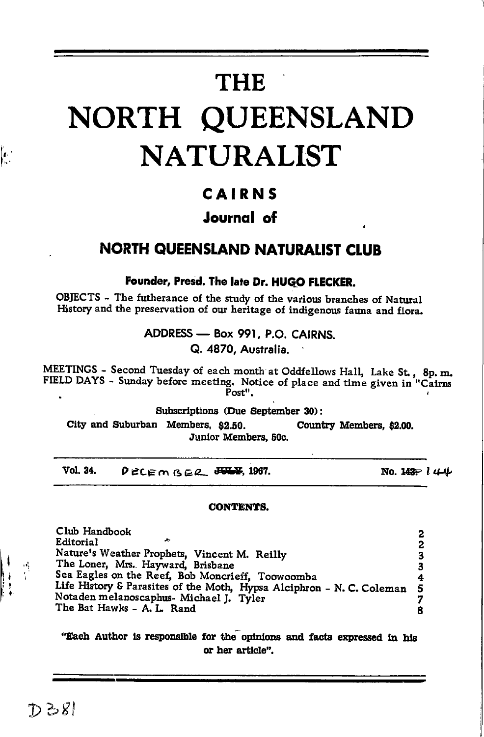# **THE**

# NORTH QUEENSLAND **NATURALIST**

#### CAIRNS

#### Journal of

#### **NORTH QUEENSLAND NATURALIST CLUB**

Founder, Presd. The late Dr. HUGO FLECKER.

OBJECTS - The futherance of the study of the various branches of Natural History and the preservation of our heritage of indigenous fauna and flora.

> ADDRESS - Box 991, P.O. CAIRNS. Q. 4870, Australia.

MEETINGS - Second Tuesday of each month at Oddfellows Hall, Lake St., 8p.m. FIELD DAYS - Sunday before meeting. Notice of place and time given in "Cairns  $\bar{P}_{\alpha s t}$ 

Subscriptions (Due September 30):

City and Suburban Members, \$2.50. Country Members, \$2.00. Junior Members, 50c.

Vol. 34.  $D$ <sub>ECEM</sub><sub>REL</sub>  $H$ <sub>W</sub>F<sub>1</sub>, 1967. No. 142  $l + 1$ 

#### **CONTENTS.**

Club Handbook 2 **Editorial**  $\overline{2}$ Nature's Weather Prophets, Vincent M. Reilly<br>The Loner, Mrs. Hayward, Brisbane 3 3 Sea Eagles on the Reef, Bob Moncrieff, Toowoomba 4 Life History & Parasites of the Moth, Hypsa Alciphron - N. C. Coleman 5 Notaden melanoscaphus- Michael J. Tyler 7 The Bat Hawks - A. L. Rand R

"Each Author is responsible for the opinions and facts expressed in his or her article".

т,

 $\left| \cdot \right\rangle$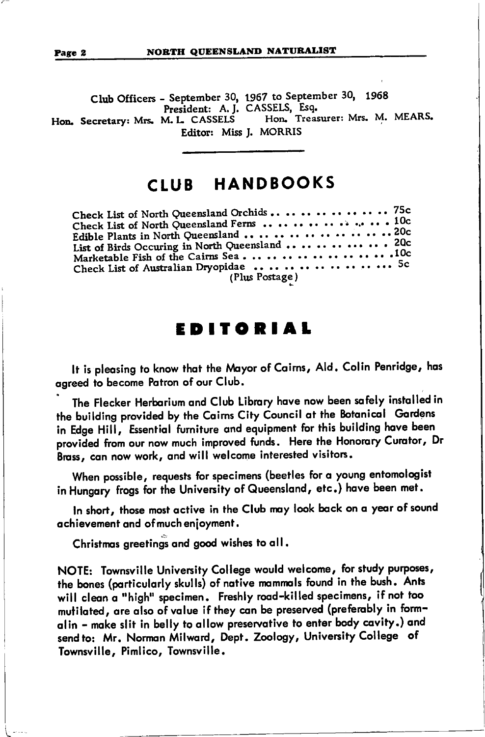CIub Officers - September 30, 1967 to September 30, <sup>1968</sup> President: A. J. CASSELS, Esq.<br>M. L. CASSELS Hon. Treasurer: Mrs. M. MEARS. Hon. Secretary: Mrs. M. L. CASSELS Editor: Miss J. MORRIS

## CtUB HANDBOOKS

| Check List of North Queensland Orchids  75c     |  |
|-------------------------------------------------|--|
|                                                 |  |
|                                                 |  |
| Edible Plants in North Queensland 20c           |  |
|                                                 |  |
| List of Birds Occuring in North Queensland  20c |  |
| Marketable Fish of the Cairns Sea. 10c          |  |
|                                                 |  |
| Check List of Australian Dryopidae 5c           |  |
| (Plus Postage)                                  |  |

### EDITORIAl

It is pleasing to know that the Mayor of Cairns, Ald. Colin Penridge, has ogreed to become Potron of our Club.

The Flecker Herbarium and Club Library have now been safely installed in the building provided by the Caims City Council at the Botanical Gardens in Edge Hill, Essential furniture and equipment for this building have been provided from our now much improved funds. Here the Honorary Curator, Dr Brass, can now work, and will welcome interested visitors.

When possible, requests for specimens (beetles for a young entomologist in Hungary frogs for the University of Queensland, etc.) have been met.

In short, those most active in the Club may look back on a year of sound ochievement ond of much enioyment.

Christmas greetings and good wishes to all.

NOTE: Townsville Univenity College would welcome, for study purposes, the bones (particularly skulls) of native mammals found in the bush. Ants will clean a "high" specimen. Freshly road-killed specimens, if not too mutilated, are also of value if they can be preserved (preferably in formalin - make slit in belly to allow preservative to enter body cavity.) and send to: Mr. Norman Milward, Dept. Zoology, University College of Townsville, Pimlico, Townsville.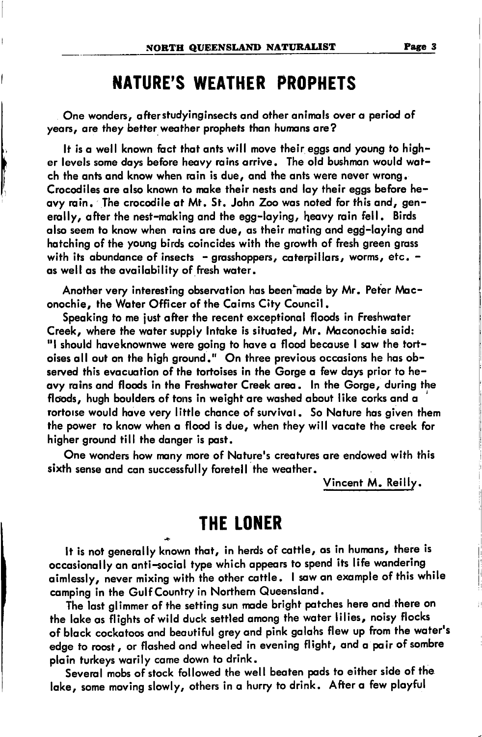## **NATURE'S WEATHER PROPHETS**

One wonders, after studyinginsects and other animals over a period of years, are they better weather prophets than humans are?

It is a well known fact that ants will move their eags and young to higher levels some days before heavy rains arrive. The old bushman would watch the ants and know when rain is due, and the ants were never wrong. Crocodiles are also known to make their nests and lay their eags before heavy rain. The crocodile at Mt. St. John Zoo was noted for this and, generally, after the nest-making and the egg-laying, heavy rain fell. Birds also seem to know when rains are due, as their mating and egg-laying and hatching of the young birds coincides with the growth of fresh green grass with its abundance of insects - grasshoppers, caterpillars, worms, etc. as well as the availability of fresh water.

Another very interesting observation has been made by Mr. Peter Maconochie, the Water Officer of the Cairns City Council.

Speaking to me just after the recent exceptional floods in Freshwater Creek, where the water supply Intake is situated, Mr. Maconochie said: "I should haveknownwe were going to have a flood because I saw the tortoises all out on the high ground." On three previous occasions he has observed this evacuation of the tortoises in the Gorge a few days prior to heavy rains and floods in the Freshwater Creek area, In the Gorge, during the floods, hugh boulders of tons in weight are washed about like corks and a rortoise would have very little chance of survival. So Nature has aiven them the power to know when a flood is due, when they will vacate the creek for higher ground till the danger is past.

One wonders how many more of Nature's creatures are endowed with this sixth sense and can successfully foretell the weather.

Vincent M. Reilly.

#### **THE LONER**

It is not generally known that, in herds of cattle, as in humans, there is occasionally an anti-social type which appears to spend its life wandering aimlessly, never mixing with the other cattle. I saw an example of this while camping in the Gulf Country in Northern Queensland.

The last glimmer of the setting sun made bright patches here and there on the lake as flights of wild duck settled among the water lilies, noisy flocks of black cockatoos and beautiful grey and pink galahs flew up from the water's edge to roost , or flashed and wheeled in evening flight, and a pair of sombre plain turkeys warily came down to drink.

Several mobs of stock followed the well beaten pads to either side of the lake, some moving slowly, others in a hurry to drink. After a few playful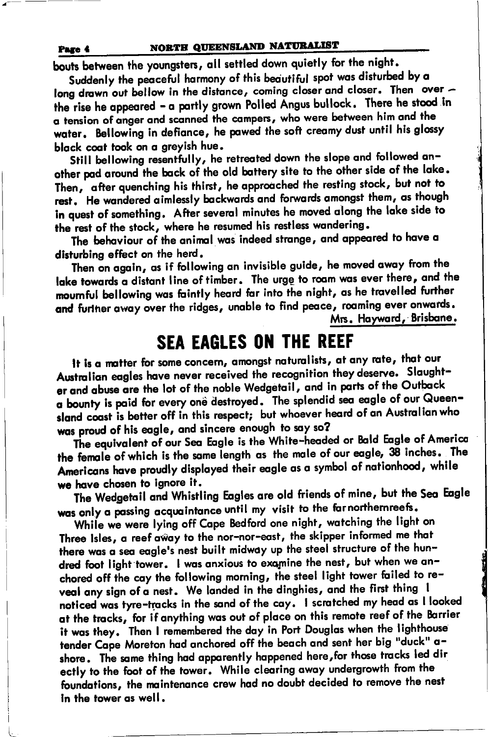bouts between the youngsters, all settled down quietly for the night.

Suddenly the peaceful harmony of this beautiful spot was disturbed by a long drawn out bellow in the distance, coming closer and closer. Then over the rise he appeared - a partly grown Polled Angus bullock. There he stood in a tension of anger and scanned the campers, who were between him and the water. Bellowing in defiance, he pawed the soft creamy dust until his alossy black coat took on a greyish hue.

Still bellowing resentfully, he retreated down the slope and followed another pad around the back of the old battery site to the other side of the lake. Then, after quenching his thirst, he approached the resting stock, but not to rest. He wandered aimlessly backwards and forwards amongst them, as though in quest of something. After several minutes he moved along the lake side to the rest of the stock, where he resumed his restless wandering.

The behaviour of the animal was indeed strange, and appeared to have a disturbing effect on the herd.

Then on again, as if following an invisible guide, he moved away from the lake towards a distant line of timber. The urge to roam was ever there, and the mournful bellowing was faintly heard far into the night, as he travelled further and further away over the ridges, unable to find peace, roaming ever onwards. Mrs. Hayward, Brisbane.

## **SEA EAGLES ON THE REEF**

It is a matter for some concern, amongst naturalists, at any rate, that our Australian eagles have never received the recognition they deserve. Slaughter and abuse are the lot of the noble Wedgetail, and in parts of the Outback a bounty is paid for every one destroyed. The splendid sea eagle of our Queensland coast is better off in this respect; but whoever heard of an Australian who was proud of his eagle, and sincere enough to say so?

The equivalent of our Sea Eagle is the White-headed or Bald Eagle of America the female of which is the same length as the male of our eagle, 38 inches. The Americans have proudly displayed their eagle as a symbol of nationhood, while we have chosen to ignore it.

The Wedgetail and Whistling Eagles are old friends of mine, but the Sea Eagle was only a passing acquaintance until my visit to the far northernreefs.

While we were lying off Cape Bedford one night, watching the light on Three Isles, a reef away to the nor-nor-east, the skipper informed me that there was a sea eagle's nest built midway up the steel structure of the hundred foot light tower. I was anxious to examine the nest, but when we anchored off the cay the following morning, the steel light tower failed to reveal any sign of a nest. We landed in the dinghies, and the first thing I noticed was tyre-tracks in the sand of the cay. I scratched my head as I looked at the tracks, for if anything was out of place on this remote reef of the Barrier it was they. Then I remembered the day in Port Douglas when the lighthouse tender Cape Moreton had anchored off the beach and sent her bia "duck" ashore. The same thing had apparently happened here, for those tracks led dir ectly to the foot of the tower. While clearing away undergrowth from the foundations, the maintenance crew had no doubt decided to remove the nest in the tower as well.

Page 4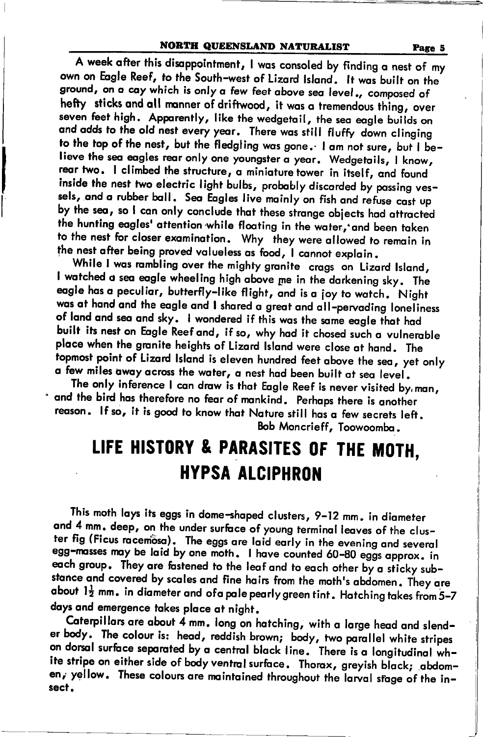#### NORTH QUEENSLAND NATURALIST Page 5

A week after this disappointment, I was consoled by finding a nest of my<br>own on Eagle Reef, to the South-west of Lizard Island. It was built on the ground, on a cay which is only a few feet above sea level., composed of hefty sticks and all manner of driftwood, it was a tremendous thing, over seven feet high. Apparently, like the wedgetail, the sea eagle builds on and adds to the old nest every year. There was still fluffy down clinging to the top of the nest, but the fledgling was gone. I am not sure, but I believe the sea eagles rear only one youngster a year. Wedgetails, I know, rear two. I climbed the structure, a miniature tower in itself, and found inside the nest two electric light bulbs, probably discarded by passing vessels, and a rubber ball. Sea Eagles live mainly on fish and refuse cast up by the sea, so I can only conclude that these strange objects had attracted the hunting eagles' attention while floating in the water, and been taken to the nest for closer examination. Why they were allowed to remain in the nest after being proved valueless as food, I cannot explain.

While I was rambling over the mighty granite crags on Lizard Island, I watched a sea eagle wheeling high above me in the darkening sky. The eagle has a peculiar, butterfly-like flight, and is a joy to watch. Night was at hand and the eagle and I shared a great and all-pervading loneliness<br>of land and sea and sky. I wondered if this was the same eagle that had built its nest on Eagle Reef and, if so, why had it chosed such a vulnerable place when the granite heights of Lizard Island were close at hand. The topmost point of Lizard Island is eleven hundred feet above the sea, yet only o few miles owoy ocross the woier, o nest hod been built of seo level .

and the bird has therefore no fear of mankind. Perhaps there is another The only inference I can draw is that Eagle Reef is never visited by, man, reason. If so, it is good to know that Nature still has a few secrets left. Bob Moncrieff, Toowoombo..

## LIFE HISTORY & PARASITES OF THE MOTH. **HYPSA ALCIPHRON**

This moth lays its eggs in dome-shaped clusters, 9–12 mm. in diameter<br>and 4 mm. deep, on the under surface of young terminal leaves of the cluster fig (Ficus racemosa). The eggs are laid early in the evening and several egg-masses may be laid by one moth. I have counted 60-80 eggs approx. in each group. They are fastened to the leaf and to each other by a sticky sub-<br>stance and covered by scales and fine hairs from the moth's abdomen. They are about  $1\frac{1}{2}$  mm. in diameter and ofa pale pearly green tint. Hatching takes from 5-7 doys ond emergence tokes ploce ot night.

Caterpillars are about 4 mm. long on hatching, with a large head and slender body. The colour is: head, reddish brown; body, two parallel white stripes<br>on dorsal surface separated by a central black line. There is a longitudinal white stripe on either side of body ventral surface. Thorax, greyish black; .abdomen, yellow. These colours are maintained throughout the larval stage of the insecf.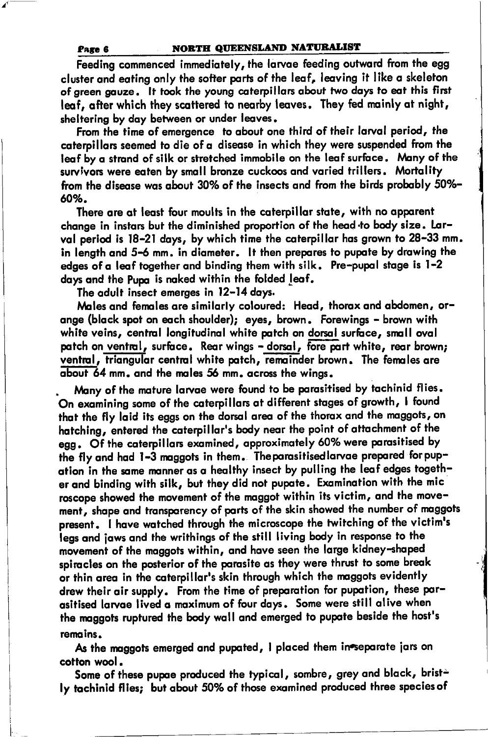#### NORTH QUEENSLAND NATURALIST

Feeding commenced immediately, the larvae feeding outward from the egg cluster and eating only the softer parts of the leaf, leaving it like a skeleton of green gauze. It took the young caterpillars about two days to eat this first leaf, after which they scattered to nearby leaves. They fed mainly at night, sheltering by day between or under leaves.

From the time of emergence to about one third of their larval period, the caterpillars seemed to die of a disease in which they were suspended from the leaf by a strand of silk or stretched immobile on the leaf surface. Many of the survivors were eaten by small bronze cuckoos and varied trillers. Mortality from the disease was about 30% of the insects and from the birds probably 50%-60%.

There are at least four moults in the caterpillar state, with no apparent change in instars but the diminished proportion of the head to body size. Larval period is 18-21 days, by which time the caterpillar has grown to 28-33 mm. in length and 5-6 mm. in diameter. It then prepares to pupate by drawing the edges of a leaf together and binding them with silk. Pre-pupal stage is 1-2 days and the Pupa is naked within the folded leaf.

The adult insect emerges in 12-14 days.

Males and females are similarly coloured: Head, thorax and abdomen, orange (black spot on each shoulder); eyes, brown. Forewings - brown with white veins, central longitudinal white patch on dorsal surface, small oval patch on ventral, surface. Rear wings - dorsal, fore part white, rear brown; ventral, triangular central white patch, remainder brown. The females are about 64 mm, and the males 56 mm, across the wings.

Many of the mature larvae were found to be parasitised by tachinid flies. On examining some of the caterpillars at different stages of growth, I found that the fly laid its eggs on the dorsal area of the thorax and the maggots, on hatching, entered the caterpillar's body near the point of attachment of the egg. Of the caterpillars examined, approximately 60% were parasitised by the fly and had 1-3 maggots in them. The parasitised larvae prepared for pupation in the same manner as a healthy insect by pulling the leaf edges together and binding with silk, but they did not pupate. Examination with the mic roscope showed the movement of the maggot within its victim, and the movement, shape and transparency of parts of the skin showed the number of maggots present. I have watched through the microscope the twitching of the victim's legs and jaws and the writhings of the still living body in response to the movement of the maggots within, and have seen the large kidney-shaped spiracles on the posterior of the parasite as they were thrust to some break or thin area in the caterpillar's skin through which the maggots evidently drew their air supply. From the time of preparation for pupation, these parasitised larvae lived a maximum of four days. Some were still alive when the maggots ruptured the body wall and emerged to pupate beside the host's remains.

As the maggots emerged and pupated, I placed them in separate jars on cotton wool.

Some of these pupae produced the typical, sombre, grey and black, bristly tachinid flies; but about 50% of those examined produced three species of

Page 6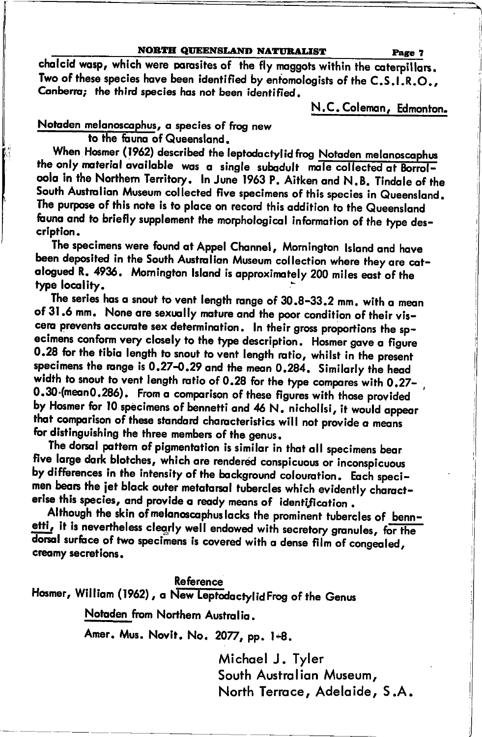#### NORTH QUEENSLAND NATURALIST

chalcid wasp, which were parasites of the fly maggots within the caterpillars. Two of these species have been identified by entomologists of the C.S.I.R.O., Canberra; the third species has not been identified.

N.C. Coleman, Edmonton.

Page 7

Notaden melanoscaphus, a species of frog new

to the fauna of Queensland.

When Hosmer (1962) described the leptodactylid frog Notaden melanoscaphus the only material available was a single subadult male collected at Borrolcola in the Northern Territory. In June 1963 P. Aitken and N.B. Tindale of the South Australian Museum collected five specimens of this species in Queensland. The purpose of this note is to place on record this addition to the Queensland fauna and to briefly supplement the morphological information of the type description.

The specimens were found at Appel Channel, Mornington Island and have been deposited in the South Australian Museum collection where they are catalogued R. 4936. Mornington Island is approximately 200 miles east of the type locality.

The series has a snout to vent length range of 30.8-33.2 mm. with a mean of 31.6 mm. None are sexually mature and the poor condition of their viscera prevents accurate sex determination. In their gross proportions the specimens conform very closely to the type description. Hosmer gave a figure 0.28 for the tibia length to snout to vent length ratio, whilst in the present specimens the range is 0.27-0.29 and the mean 0.284. Similarly the head width to snout to vent length ratio of 0.28 for the type compares with 0.27-0.30 (mean 0.286). From a comparison of these figures with those provided by Hosmer for 10 specimens of bennetti and 46 N. nichollsi, it would appear that comparison of these standard characteristics will not provide a means for distinguishing the three members of the genus.

The dorsal pattern of pigmentation is similar in that all specimens bear five large dark blotches, which are rendered conspicuous or inconspicuous by differences in the intensity of the background colouration. Each specimen bears the jet black outer metatarsal tubercles which evidently characterise this species, and provide a ready means of identification.

Although the skin of melanoscaphus lacks the prominent tubercles of bennetti, it is nevertheless clearly well endowed with secretory granules, for the dorsal surface of two specimens is covered with a dense film of congealed, creamy secretions.

#### **Reference**

Hosmer, William (1962), a New Leptodactylid Frog of the Genus

Notaden from Northern Australia.

Amer. Mus. Novit. No. 2077, pp. 1+8.

Michael J. Tyler South Australian Museum, North Terrace, Adelaide, S.A.